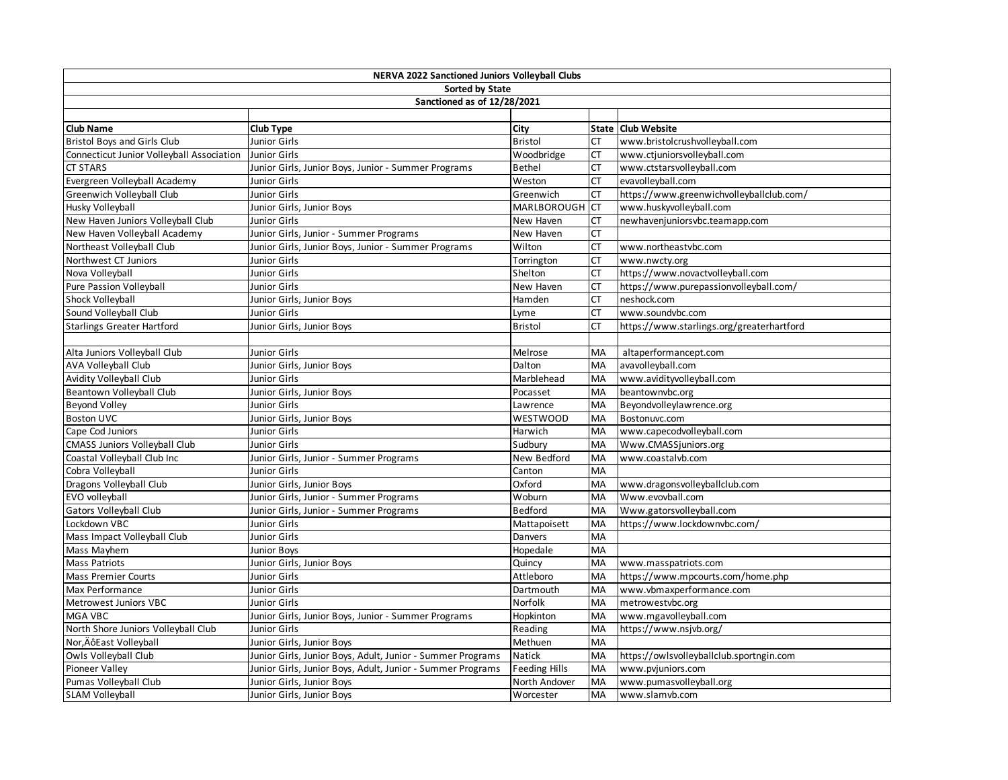| <b>NERVA 2022 Sanctioned Juniors Volleyball Clubs</b> |                                                            |                      |           |                                           |  |  |  |
|-------------------------------------------------------|------------------------------------------------------------|----------------------|-----------|-------------------------------------------|--|--|--|
| Sorted by State                                       |                                                            |                      |           |                                           |  |  |  |
| Sanctioned as of 12/28/2021                           |                                                            |                      |           |                                           |  |  |  |
|                                                       |                                                            |                      |           |                                           |  |  |  |
| <b>Club Name</b>                                      | <b>Club Type</b>                                           | City                 |           | State   Club Website                      |  |  |  |
| <b>Bristol Boys and Girls Club</b>                    | Junior Girls                                               | <b>Bristol</b>       | <b>CT</b> | www.bristolcrushvolleyball.com            |  |  |  |
| Connecticut Junior Volleyball Association             | <b>Junior Girls</b>                                        | Woodbridge           | <b>CT</b> | www.ctjuniorsvolleyball.com               |  |  |  |
| <b>CT STARS</b>                                       | Junior Girls, Junior Boys, Junior - Summer Programs        | <b>Bethel</b>        | СT        | www.ctstarsvolleyball.com                 |  |  |  |
| Evergreen Volleyball Academy                          | <b>Junior Girls</b>                                        | Weston               | СT        | evavolleyball.com                         |  |  |  |
| Greenwich Volleyball Club                             | Junior Girls                                               | Greenwich            | СT        | https://www.greenwichvolleyballclub.com/  |  |  |  |
| Husky Volleyball                                      | Junior Girls, Junior Boys                                  | <b>MARLBOROUGH</b>   | <b>CT</b> | www.huskyvolleyball.com                   |  |  |  |
| New Haven Juniors Volleyball Club                     | Junior Girls                                               | New Haven            | СT        | newhavenjuniorsvbc.teamapp.com            |  |  |  |
| New Haven Volleyball Academy                          | Junior Girls, Junior - Summer Programs                     | New Haven            | СT        |                                           |  |  |  |
| Northeast Volleyball Club                             | Junior Girls, Junior Boys, Junior - Summer Programs        | Wilton               | СT        | www.northeastvbc.com                      |  |  |  |
| Northwest CT Juniors                                  | Junior Girls                                               | Torrington           | СT        | www.nwcty.org                             |  |  |  |
| Nova Volleyball                                       | Junior Girls                                               | Shelton              | СT        | https://www.novactvolleyball.com          |  |  |  |
| Pure Passion Volleyball                               | Junior Girls                                               | New Haven            | СT        | https://www.purepassionvolleyball.com/    |  |  |  |
| Shock Volleyball                                      | Junior Girls, Junior Boys                                  | Hamden               | СT        | neshock.com                               |  |  |  |
| Sound Volleyball Club                                 | Junior Girls                                               | Lyme                 | СT        | www.soundvbc.com                          |  |  |  |
| <b>Starlings Greater Hartford</b>                     | Junior Girls, Junior Boys                                  | <b>Bristol</b>       | СT        | https://www.starlings.org/greaterhartford |  |  |  |
|                                                       |                                                            |                      |           |                                           |  |  |  |
| Alta Juniors Volleyball Club                          | Junior Girls                                               | Melrose              | MA        | altaperformancept.com                     |  |  |  |
| AVA Volleyball Club                                   | Junior Girls, Junior Boys                                  | Dalton               | MA        | avavolleyball.com                         |  |  |  |
| Avidity Volleyball Club                               | Junior Girls                                               | Marblehead           | MA        | www.avidityvolleyball.com                 |  |  |  |
| <b>Beantown Vollevball Club</b>                       | Junior Girls, Junior Boys                                  | Pocasset             | MA        | beantownvbc.org                           |  |  |  |
| <b>Beyond Volley</b>                                  | Junior Girls                                               | Lawrence             | MA        | Beyondvolleylawrence.org                  |  |  |  |
| <b>Boston UVC</b>                                     | Junior Girls, Junior Boys                                  | <b>WESTWOOD</b>      | MA        | Bostonuvc.com                             |  |  |  |
| Cape Cod Juniors                                      | Junior Girls                                               | Harwich              | MA        | www.capecodvolleyball.com                 |  |  |  |
| CMASS Juniors Volleyball Club                         | <b>Junior Girls</b>                                        | Sudbury              | MA        | Www.CMASSjuniors.org                      |  |  |  |
| Coastal Volleyball Club Inc                           | Junior Girls, Junior - Summer Programs                     | New Bedford          | MA        | www.coastalvb.com                         |  |  |  |
| Cobra Volleyball                                      | Junior Girls                                               | Canton               | MA        |                                           |  |  |  |
| Dragons Volleyball Club                               | Junior Girls, Junior Boys                                  | Oxford               | MA        | www.dragonsvolleyballclub.com             |  |  |  |
| EVO volleyball                                        | Junior Girls, Junior - Summer Programs                     | Woburn               | MA        | Www.evovball.com                          |  |  |  |
| <b>Gators Volleyball Club</b>                         | Junior Girls, Junior - Summer Programs                     | <b>Bedford</b>       | MA        | Www.gatorsvolleyball.com                  |  |  |  |
| Lockdown VBC                                          | Junior Girls                                               | Mattapoisett         | MA        | https://www.lockdownvbc.com/              |  |  |  |
| Mass Impact Volleyball Club                           | Junior Girls                                               | Danvers              | <b>MA</b> |                                           |  |  |  |
| Mass Mayhem                                           | <b>Junior Boys</b>                                         | Hopedale             | MA        |                                           |  |  |  |
| <b>Mass Patriots</b>                                  | Junior Girls, Junior Boys                                  | Quincy               | MA        | www.masspatriots.com                      |  |  |  |
| <b>Mass Premier Courts</b>                            | Junior Girls                                               | Attleboro            | MA        | https://www.mpcourts.com/home.php         |  |  |  |
| Max Performance                                       | Junior Girls                                               | Dartmouth            | MA        | www.vbmaxperformance.com                  |  |  |  |
| Metrowest Juniors VBC                                 | Junior Girls                                               | Norfolk              | MA        | metrowestvbc.org                          |  |  |  |
| MGA VBC                                               | Junior Girls, Junior Boys, Junior - Summer Programs        | Hopkinton            | MA        | www.mgavolleyball.com                     |  |  |  |
| North Shore Juniors Volleyball Club                   | Junior Girls                                               | Reading              | MA        | https://www.nsjvb.org/                    |  |  |  |
| Nor, ÄôEast Volleyball                                | Junior Girls, Junior Boys                                  | Methuen              | MA        |                                           |  |  |  |
| Owls Volleyball Club                                  | Junior Girls, Junior Boys, Adult, Junior - Summer Programs | Natick               | MA        | https://owlsvolleyballclub.sportngin.com  |  |  |  |
| Pioneer Valley                                        | Junior Girls, Junior Boys, Adult, Junior - Summer Programs | <b>Feeding Hills</b> | MA        | www.pvjuniors.com                         |  |  |  |
| Pumas Volleyball Club                                 | Junior Girls, Junior Boys                                  | North Andover        | MA        | www.pumasvolleyball.org                   |  |  |  |
| <b>SLAM Volleyball</b>                                | Junior Girls, Junior Boys                                  | Worcester            | MA        | www.slamvb.com                            |  |  |  |
|                                                       |                                                            |                      |           |                                           |  |  |  |